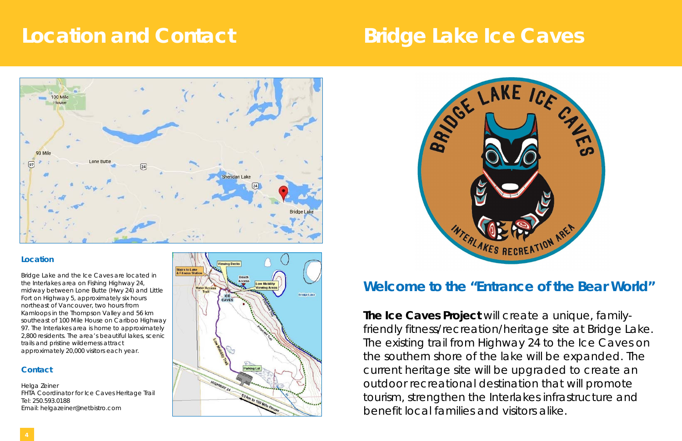# **Location and Contact Carried Bridge Lake Ice Caves**



### **Contact**

Helga Zeiner FHTA Coordinator for Ice Caves Heritage Trail Tel: 250.593.0188 Email: helgazeiner@netbistro.com





## **Welcome to the "Entrance of the Bear World"**

**The Ice Caves Project** will create a unique, familyfriendly fitness/recreation/heritage site at Bridge Lake. The existing trail from Highway 24 to the Ice Caves on the southern shore of the lake will be expanded. The current heritage site will be upgraded to create an outdoor recreational destination that will promote tourism, strengthen the Interlakes infrastructure and benefit local families and visitors alike.

### **Location**

Bridge Lake and the Ice Caves are located in the Interlakes area on Fishing Highway 24, midway between Lone Butte (Hwy 24) and Little Fort on Highway 5, approximately six hours northeast of Vancouver, two hours from Kamloops in the Thompson Valley and 56 km southeast of 100 Mile House on Cariboo Highway 97. The Interlakes area is home to approximately 2,800 residents. The area's beautiful lakes, scenic trails and pristine wilderness attract approximately 20,000 visitors each year.